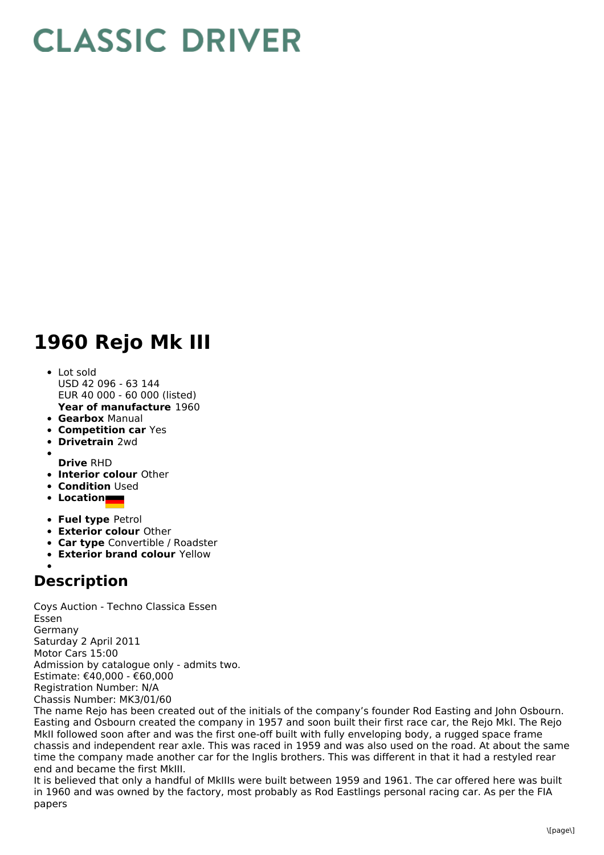## **CLASSIC DRIVER**

## **1960 Rejo Mk III**

- **Year of manufacture** 1960 Lot sold USD 42 096 - 63 144 EUR 40 000 - 60 000 (listed)
- **Gearbox** Manual
- **Competition car** Yes
- **Drivetrain** 2wd
- 
- **Drive** RHD
- **Interior colour** Other
- **Condition Used**
- **Location**
- **Fuel type** Petrol
- **Exterior colour** Other
- **Car type** Convertible / Roadster
- **Exterior brand colour** Yellow
- 

## **Description**

Coys Auction - Techno Classica Essen Essen Germany Saturday 2 April 2011 Motor Cars 15:00 Admission by catalogue only - admits two. Estimate: €40,000 - €60,000 Registration Number: N/A Chassis Number: MK3/01/60

The name Rejo has been created out of the initials of the company's founder Rod Easting and John Osbourn. Easting and Osbourn created the company in 1957 and soon built their first race car, the Rejo MkI. The Rejo MkII followed soon after and was the first one-off built with fully enveloping body, a rugged space frame chassis and independent rear axle. This was raced in 1959 and was also used on the road. At about the same time the company made another car for the Inglis brothers. This was different in that it had a restyled rear end and became the first MkIII.

It is believed that only a handful of MkIIIs were built between 1959 and 1961. The car offered here was built in 1960 and was owned by the factory, most probably as Rod Eastlings personal racing car. As per the FIA papers